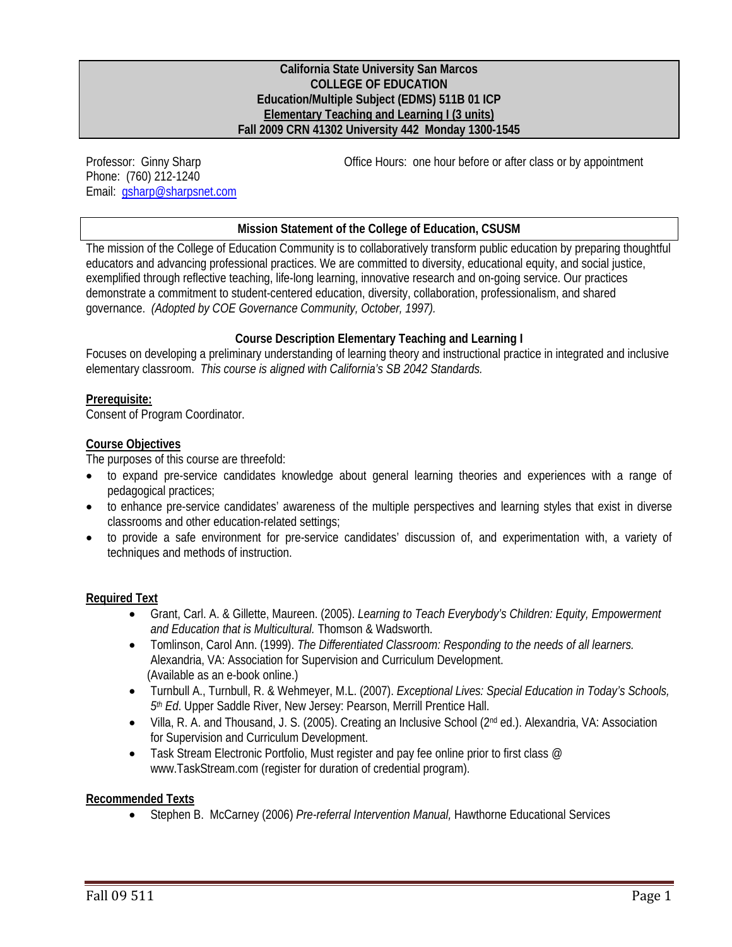#### **California State University San Marcos COLLEGE OF EDUCATION Education/Multiple Subject (EDMS) 511B 01 ICP Elementary Teaching and Learning I (3 units) Fall 2009 CRN 41302 University 442 Monday 1300-1545**

Professor: Ginny Sharp Phone: (760) 212-1240 Email: gsharp@sharpsnet.com Office Hours: one hour before or after class or by appointment

#### **Mission Statement of the College of Education, CSUSM**

The mission of the College of Education Community is to collaboratively transform public education by preparing thoughtful educators and advancing professional practices. We are committed to diversity, educational equity, and social justice, exemplified through reflective teaching, life-long learning, innovative research and on-going service. Our practices demonstrate a commitment to student-centered education, diversity, collaboration, professionalism, and shared governance. *(Adopted by COE Governance Community, October, 1997).* 

#### **Course Description Elementary Teaching and Learning I**

Focuses on developing a preliminary understanding of learning theory and instructional practice in integrated and inclusive elementary classroom. *This course is aligned with California's SB 2042 Standards.* 

#### **Prerequisite:**

Consent of Program Coordinator.

#### **Course Objectives**

The purposes of this course are threefold:

- to expand pre-service candidates knowledge about general learning theories and experiences with a range of pedagogical practices;
- to enhance pre-service candidates' awareness of the multiple perspectives and learning styles that exist in diverse classrooms and other education-related settings;
- to provide a safe environment for pre-service candidates' discussion of, and experimentation with, a variety of techniques and methods of instruction.

#### **Required Text**

- Grant, Carl. A. & Gillette, Maureen. (2005). *Learning to Teach Everybody's Children: Equity, Empowerment and Education that is Multicultural.* Thomson & Wadsworth.
- Tomlinson, Carol Ann. (1999). *The Differentiated Classroom: Responding to the needs of all learners.*  Alexandria, VA: Association for Supervision and Curriculum Development. (Available as an e-book online.)
- Turnbull A., Turnbull, R. & Wehmeyer, M.L. (2007). *Exceptional Lives: Special Education in Today's Schools, 5th Ed*. Upper Saddle River, New Jersey: Pearson, Merrill Prentice Hall.
- Villa, R. A. and Thousand, J. S. (2005). Creating an Inclusive School (2nd ed.). Alexandria, VA: Association for Supervision and Curriculum Development.
- Task Stream Electronic Portfolio, Must register and pay fee online prior to first class  $@$ www.TaskStream.com (register for duration of credential program).

#### **Recommended Texts**

Stephen B. McCarney (2006) *Pre-referral Intervention Manual,* Hawthorne Educational Services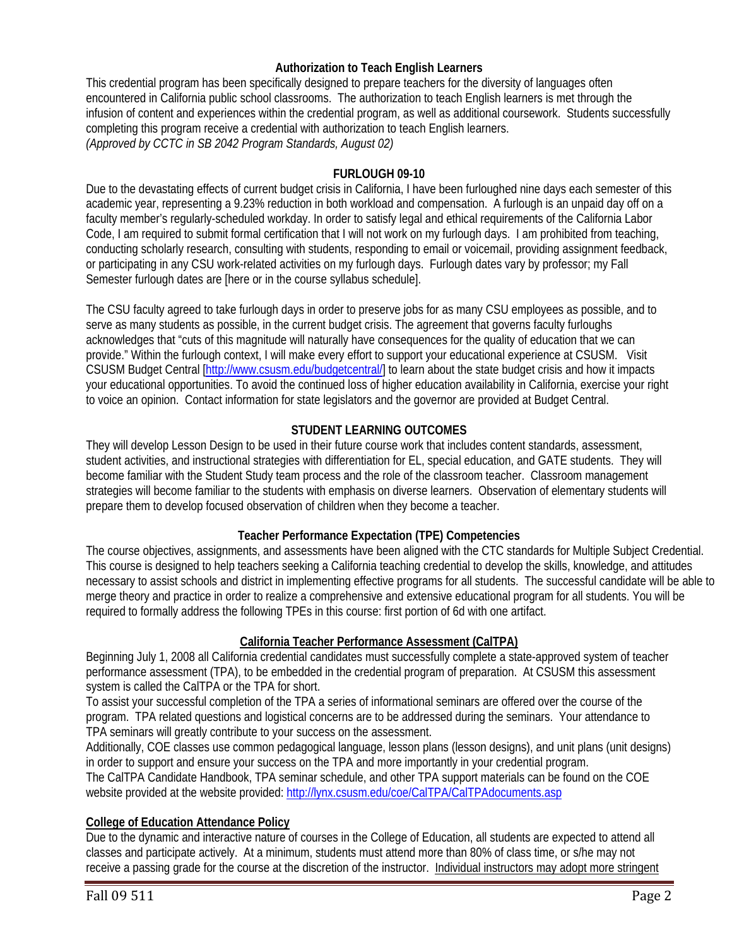#### **Authorization to Teach English Learners**

This credential program has been specifically designed to prepare teachers for the diversity of languages often encountered in California public school classrooms. The authorization to teach English learners is met through the infusion of content and experiences within the credential program, as well as additional coursework. Students successfully completing this program receive a credential with authorization to teach English learners. *(Approved by CCTC in SB 2042 Program Standards, August 02)* 

#### **FURLOUGH 09-10**

Due to the devastating effects of current budget crisis in California, I have been furloughed nine days each semester of this academic year, representing a 9.23% reduction in both workload and compensation. A furlough is an unpaid day off on a faculty member's regularly-scheduled workday. In order to satisfy legal and ethical requirements of the California Labor Code, I am required to submit formal certification that I will not work on my furlough days. I am prohibited from teaching, conducting scholarly research, consulting with students, responding to email or voicemail, providing assignment feedback, or participating in any CSU work-related activities on my furlough days. Furlough dates vary by professor; my Fall Semester furlough dates are [here or in the course syllabus schedule].

 to voice an opinion. Contact information for state legislators and the governor are provided at Budget Central. The CSU faculty agreed to take furlough days in order to preserve jobs for as many CSU employees as possible, and to serve as many students as possible, in the current budget crisis. The agreement that governs faculty furloughs acknowledges that "cuts of this magnitude will naturally have consequences for the quality of education that we can provide." Within the furlough context, I will make every effort to support your educational experience at CSUSM. Visit CSUSM Budget Central [http://www.csusm.edu/budgetcentral/] to learn about the state budget crisis and how it impacts your educational opportunities. To avoid the continued loss of higher education availability in California, exercise your right

# **STUDENT LEARNING OUTCOMES**

They will develop Lesson Design to be used in their future course work that includes content standards, assessment, student activities, and instructional strategies with differentiation for EL, special education, and GATE students. They will become familiar with the Student Study team process and the role of the classroom teacher. Classroom management strategies will become familiar to the students with emphasis on diverse learners. Observation of elementary students will prepare them to develop focused observation of children when they become a teacher.

#### **Teacher Performance Expectation (TPE) Competencies**

The course objectives, assignments, and assessments have been aligned with the CTC standards for Multiple Subject Credential. This course is designed to help teachers seeking a California teaching credential to develop the skills, knowledge, and attitudes necessary to assist schools and district in implementing effective programs for all students. The successful candidate will be able to merge theory and practice in order to realize a comprehensive and extensive educational program for all students. You will be required to formally address the following TPEs in this course: first portion of 6d with one artifact.

#### **California Teacher Performance Assessment (CalTPA)**

Beginning July 1, 2008 all California credential candidates must successfully complete a state-approved system of teacher performance assessment (TPA), to be embedded in the credential program of preparation. At CSUSM this assessment system is called the CalTPA or the TPA for short.

To assist your successful completion of the TPA a series of informational seminars are offered over the course of the program. TPA related questions and logistical concerns are to be addressed during the seminars. Your attendance to TPA seminars will greatly contribute to your success on the assessment.

Additionally, COE classes use common pedagogical language, lesson plans (lesson designs), and unit plans (unit designs) in order to support and ensure your success on the TPA and more importantly in your credential program.

The CalTPA Candidate Handbook, TPA seminar schedule, and other TPA support materials can be found on the COE website provided at the website provided: http://lynx.csusm.edu/coe/CalTPA/CalTPAdocuments.asp

#### **College of Education Attendance Policy**

Due to the dynamic and interactive nature of courses in the College of Education, all students are expected to attend all classes and participate actively. At a minimum, students must attend more than 80% of class time, or s/he may not receive a passing grade for the course at the discretion of the instructor. Individual instructors may adopt more stringent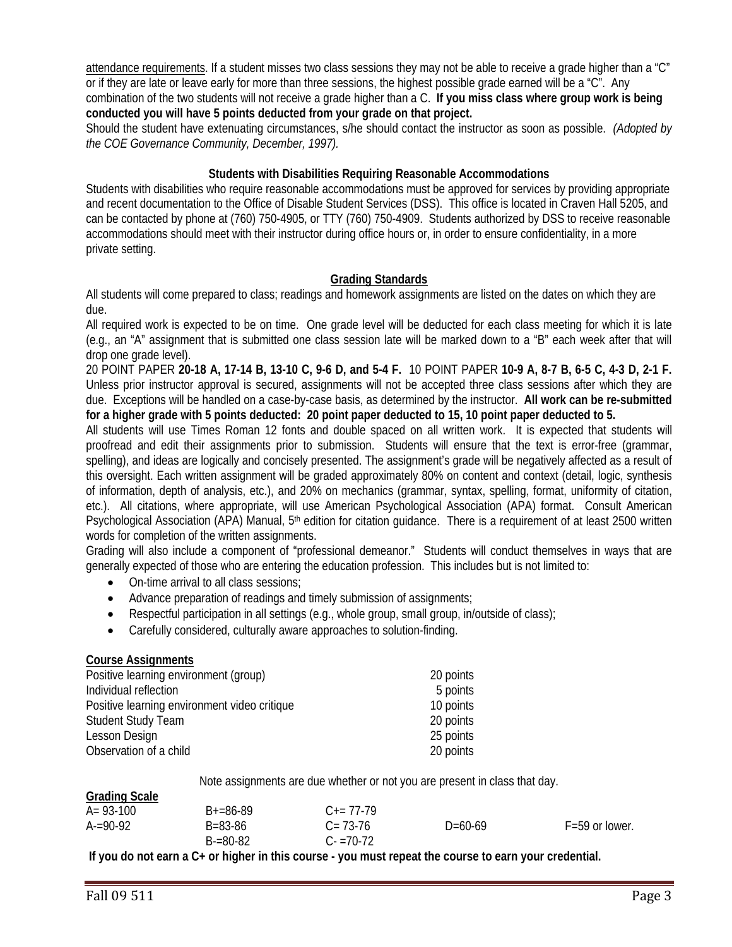attendance requirements. If a student misses two class sessions they may not be able to receive a grade higher than a "C" or if they are late or leave early for more than three sessions, the highest possible grade earned will be a "C". Any combination of the two students will not receive a grade higher than a C. **If you miss class where group work is being conducted you will have 5 points deducted from your grade on that project.** 

 *the COE Governance Community, December, 1997).* Should the student have extenuating circumstances, s/he should contact the instructor as soon as possible. *(Adopted by* 

#### **Students with Disabilities Requiring Reasonable Accommodations**

Students with disabilities who require reasonable accommodations must be approved for services by providing appropriate and recent documentation to the Office of Disable Student Services (DSS). This office is located in Craven Hall 5205, and can be contacted by phone at (760) 750-4905, or TTY (760) 750-4909. Students authorized by DSS to receive reasonable accommodations should meet with their instructor during office hours or, in order to ensure confidentiality, in a more private setting.

#### **Grading Standards**

 All students will come prepared to class; readings and homework assignments are listed on the dates on which they are due.

All required work is expected to be on time. One grade level will be deducted for each class meeting for which it is late (e.g., an "A" assignment that is submitted one class session late will be marked down to a "B" each week after that will drop one grade level).

 due. Exceptions will be handled on a case-by-case basis, as determined by the instructor. **All work can be re-submitted**  20 POINT PAPER **20-18 A, 17-14 B, 13-10 C, 9-6 D, and 5-4 F.** 10 POINT PAPER **10-9 A, 8-7 B, 6-5 C, 4-3 D, 2-1 F.**  Unless prior instructor approval is secured, assignments will not be accepted three class sessions after which they are **for a higher grade with 5 points deducted: 20 point paper deducted to 15, 10 point paper deducted to 5.** 

Psychological Association (APA) Manual, 5<sup>th</sup> edition for citation guidance. There is a requirement of at least 2500 written All students will use Times Roman 12 fonts and double spaced on all written work. It is expected that students will proofread and edit their assignments prior to submission. Students will ensure that the text is error-free (grammar, spelling), and ideas are logically and concisely presented. The assignment's grade will be negatively affected as a result of this oversight. Each written assignment will be graded approximately 80% on content and context (detail, logic, synthesis of information, depth of analysis, etc.), and 20% on mechanics (grammar, syntax, spelling, format, uniformity of citation, etc.). All citations, where appropriate, will use American Psychological Association (APA) format. Consult American words for completion of the written assignments.

 Grading will also include a component of "professional demeanor." Students will conduct themselves in ways that are generally expected of those who are entering the education profession. This includes but is not limited to:

- On-time arrival to all class sessions:
- Advance preparation of readings and timely submission of assignments;
- Respectful participation in all settings (e.g., whole group, small group, in/outside of class);
- Carefully considered, culturally aware approaches to solution-finding.

#### **Course Assignments**

| Positive learning environment (group)        | 20 points |
|----------------------------------------------|-----------|
| Individual reflection                        | 5 points  |
| Positive learning environment video critique | 10 points |
| <b>Student Study Team</b>                    | 20 points |
| Lesson Design                                | 25 points |
| Observation of a child                       | 20 points |

Note assignments are due whether or not you are present in class that day.

| <b>Grading Scale</b> |                          |                            |           |                    |
|----------------------|--------------------------|----------------------------|-----------|--------------------|
| $A = 93-100$         | $B+=86-89$               | $C_{\pm} = 77 - 79$        |           |                    |
| $A = 90-92$          | B=83-86<br>$B = 80 - 82$ | $C = 73-76$<br>$C = 70-72$ | $D=60-69$ | $F = 59$ or lower. |

**If you do not earn a C+ or higher in this course - you must repeat the course to earn your credential.**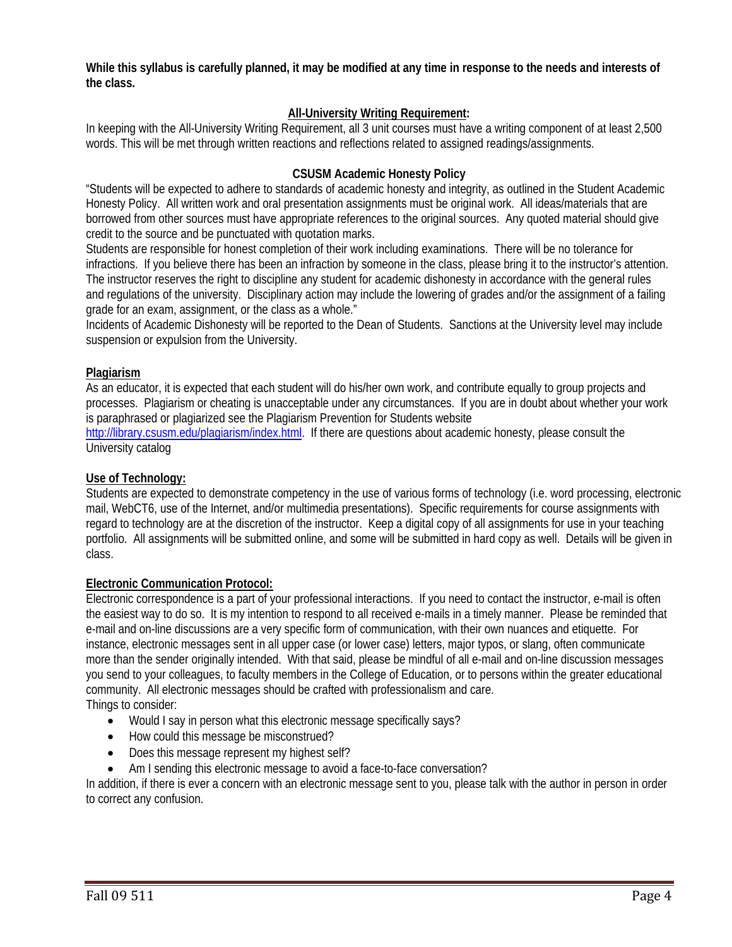**While this syllabus is carefully planned, it may be modified at any time in response to the needs and interests of the class.** 

# **All-University Writing Requirement:**

 words. This will be met through written reactions and reflections related to assigned readings/assignments. In keeping with the All-University Writing Requirement, all 3 unit courses must have a writing component of at least 2,500

#### **CSUSM Academic Honesty Policy**

"Students will be expected to adhere to standards of academic honesty and integrity, as outlined in the Student Academic Honesty Policy. All written work and oral presentation assignments must be original work. All ideas/materials that are borrowed from other sources must have appropriate references to the original sources. Any quoted material should give credit to the source and be punctuated with quotation marks.

Students are responsible for honest completion of their work including examinations. There will be no tolerance for infractions. If you believe there has been an infraction by someone in the class, please bring it to the instructor's attention. The instructor reserves the right to discipline any student for academic dishonesty in accordance with the general rules and regulations of the university. Disciplinary action may include the lowering of grades and/or the assignment of a failing grade for an exam, assignment, or the class as a whole."

Incidents of Academic Dishonesty will be reported to the Dean of Students. Sanctions at the University level may include suspension or expulsion from the University.

#### **Plagiarism**

As an educator, it is expected that each student will do his/her own work, and contribute equally to group projects and processes. Plagiarism or cheating is unacceptable under any circumstances. If you are in doubt about whether your work is paraphrased or plagiarized see the Plagiarism Prevention for Students website

http://library.csusm.edu/plagiarism/index.html. If there are questions about academic honesty, please consult the University catalog

#### **Use of Technology:**

 Students are expected to demonstrate competency in the use of various forms of technology (i.e. word processing, electronic mail, WebCT6, use of the Internet, and/or multimedia presentations). Specific requirements for course assignments with regard to technology are at the discretion of the instructor. Keep a digital copy of all assignments for use in your teaching portfolio. All assignments will be submitted online, and some will be submitted in hard copy as well. Details will be given in class.

#### **Electronic Communication Protocol:**

 instance, electronic messages sent in all upper case (or lower case) letters, major typos, or slang, often communicate Electronic correspondence is a part of your professional interactions. If you need to contact the instructor, e-mail is often the easiest way to do so. It is my intention to respond to all received e-mails in a timely manner. Please be reminded that e-mail and on-line discussions are a very specific form of communication, with their own nuances and etiquette. For more than the sender originally intended. With that said, please be mindful of all e-mail and on-line discussion messages you send to your colleagues, to faculty members in the College of Education, or to persons within the greater educational community. All electronic messages should be crafted with professionalism and care.

Things to consider:

- Would I say in person what this electronic message specifically says?
- How could this message be misconstrued?
- Does this message represent my highest self?
- Am I sending this electronic message to avoid a face-to-face conversation?

In addition, if there is ever a concern with an electronic message sent to you, please talk with the author in person in order to correct any confusion.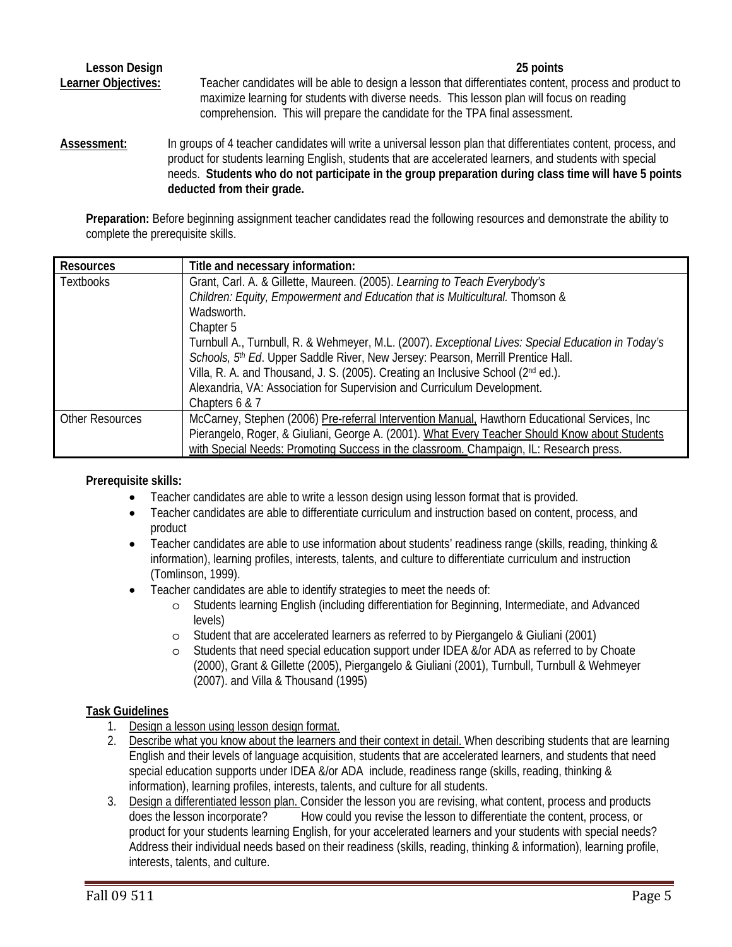**Lesson Design 25 points**  Learner Objectives: Teacher candidates will be able to design a lesson that differentiates content, process and product to maximize learning for students with diverse needs. This lesson plan will focus on reading comprehension. This will prepare the candidate for the TPA final assessment.

deducted from their grade. Assessment: In groups of 4 teacher candidates will write a universal lesson plan that differentiates content, process, and product for students learning English, students that are accelerated learners, and students with special needs. **Students who do not participate in the group preparation during class time will have 5 points** 

Preparation: Before beginning assignment teacher candidates read the following resources and demonstrate the ability to complete the prerequisite skills.

| <b>Resources</b>       | Title and necessary information:                                                                   |
|------------------------|----------------------------------------------------------------------------------------------------|
| <b>Textbooks</b>       | Grant, Carl. A. & Gillette, Maureen. (2005). Learning to Teach Everybody's                         |
|                        | Children: Equity, Empowerment and Education that is Multicultural. Thomson &                       |
|                        | Wadsworth.                                                                                         |
|                        | Chapter 5                                                                                          |
|                        | Turnbull A., Turnbull, R. & Wehmeyer, M.L. (2007). Exceptional Lives: Special Education in Today's |
|                        | Schools, 5th Ed. Upper Saddle River, New Jersey: Pearson, Merrill Prentice Hall.                   |
|                        | Villa, R. A. and Thousand, J. S. (2005). Creating an Inclusive School (2nd ed.).                   |
|                        | Alexandria, VA: Association for Supervision and Curriculum Development.                            |
|                        | Chapters 6 & 7                                                                                     |
| <b>Other Resources</b> | McCarney, Stephen (2006) Pre-referral Intervention Manual, Hawthorn Educational Services, Inc      |
|                        | Pierangelo, Roger, & Giuliani, George A. (2001). What Every Teacher Should Know about Students     |
|                        | with Special Needs: Promoting Success in the classroom. Champaign, IL: Research press.             |

# **Prerequisite skills:**

- Teacher candidates are able to write a lesson design using lesson format that is provided.
- Teacher candidates are able to differentiate curriculum and instruction based on content, process, and product
- Teacher candidates are able to use information about students' readiness range (skills, reading, thinking & information), learning profiles, interests, talents, and culture to differentiate curriculum and instruction (Tomlinson, 1999).
- Teacher candidates are able to identify strategies to meet the needs of:
	- o Students learning English (including differentiation for Beginning, Intermediate, and Advanced levels)
	- o Student that are accelerated learners as referred to by Piergangelo & Giuliani (2001)
	- $\circ$  Students that need special education support under IDEA &/or ADA as referred to by Choate (2000), Grant & Gillette (2005), Piergangelo & Giuliani (2001), Turnbull, Turnbull & Wehmeyer (2007). and Villa & Thousand (1995)

# **Task Guidelines**

- 1. Design a lesson using lesson design format.
- information), learning profiles, interests, talents, and culture for all students. 2. Describe what you know about the learners and their context in detail. When describing students that are learning English and their levels of language acquisition, students that are accelerated learners, and students that need special education supports under IDEA &/or ADA include, readiness range (skills, reading, thinking &
- 3. Design a differentiated lesson plan. Consider the lesson you are revising, what content, process and products does the lesson incorporate? How could you revise the lesson to differentiate the content, process, or product for your students learning English, for your accelerated learners and your students with special needs? Address their individual needs based on their readiness (skills, reading, thinking & information), learning profile, interests, talents, and culture.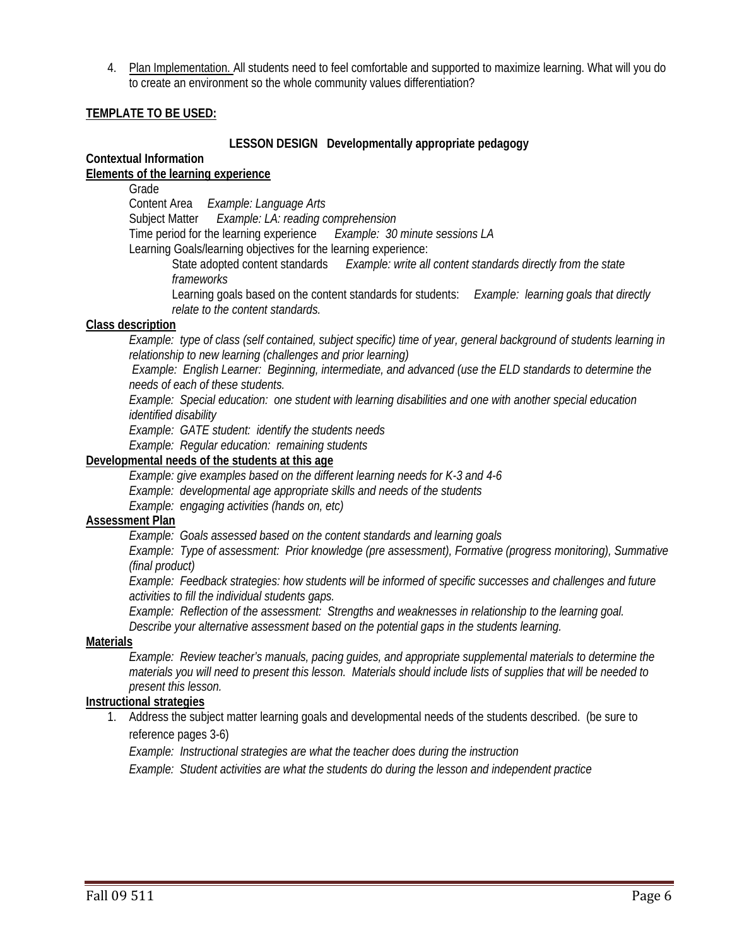4. Plan Implementation. All students need to feel comfortable and supported to maximize learning. What will you do to create an environment so the whole community values differentiation?

#### **TEMPLATE TO BE USED:**

#### **LESSON DESIGN Developmentally appropriate pedagogy**

#### **Contextual Information**

### **Elements of the learning experience**

Grade

Content Area *Example: Language Arts*

Subject Matter *Example: LA: reading comprehension* 

Time period for the learning experience *Example: 30 minute sessions LA*

Learning Goals/learning objectives for the learning experience:

State adopted content standards *Example: write all content standards directly from the state frameworks* 

Learning goals based on the content standards for students: *Example: learning goals that directly relate to the content standards.* 

#### **Class description**

*Example: type of class (self contained, subject specific) time of year, general background of students learning in relationship to new learning (challenges and prior learning)*

 *Example: English Learner: Beginning, intermediate, and advanced (use the ELD standards to determine the needs of each of these students.* 

*Example: Special education: one student with learning disabilities and one with another special education identified disability* 

*Example: GATE student: identify the students needs* 

*Example: Regular education: remaining students*

#### **Developmental needs of the students at this age**

 *Example: give examples based on the different learning needs for K-3 and 4-6*

*Example: developmental age appropriate skills and needs of the students* 

*Example: engaging activities (hands on, etc)*

#### **Assessment Plan**

*Example: Goals assessed based on the content standards and learning goals*

*Example: Type of assessment: Prior knowledge (pre assessment), Formative (progress monitoring), Summative (final product)*

*Example: Feedback strategies: how students will be informed of specific successes and challenges and future activities to fill the individual students gaps.*

*Example: Reflection of the assessment: Strengths and weaknesses in relationship to the learning goal. Describe your alternative assessment based on the potential gaps in the students learning.* 

#### **Materials**

*Example: Review teacher's manuals, pacing guides, and appropriate supplemental materials to determine the materials you will need to present this lesson. Materials should include lists of supplies that will be needed to present this lesson.* 

#### **Instructional strategies**

1. Address the subject matter learning goals and developmental needs of the students described. (be sure to reference pages 3-6)

*Example: Instructional strategies are what the teacher does during the instruction* 

*Example: Student activities are what the students do during the lesson and independent practice*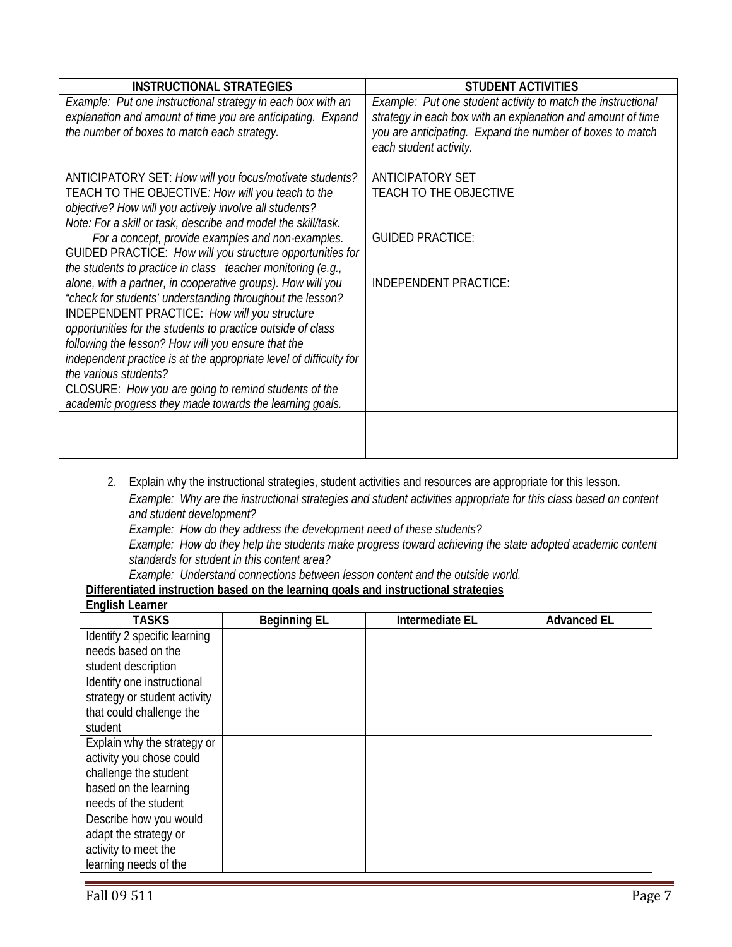| <b>INSTRUCTIONAL STRATEGIES</b>                                                                                                                                                                                                                                                                                                                                                                                                                                                                                 | <b>STUDENT ACTIVITIES</b>                                                                                                                                                                                          |
|-----------------------------------------------------------------------------------------------------------------------------------------------------------------------------------------------------------------------------------------------------------------------------------------------------------------------------------------------------------------------------------------------------------------------------------------------------------------------------------------------------------------|--------------------------------------------------------------------------------------------------------------------------------------------------------------------------------------------------------------------|
| Example: Put one instructional strategy in each box with an<br>explanation and amount of time you are anticipating. Expand<br>the number of boxes to match each strategy.                                                                                                                                                                                                                                                                                                                                       | Example: Put one student activity to match the instructional<br>strategy in each box with an explanation and amount of time<br>you are anticipating. Expand the number of boxes to match<br>each student activity. |
| ANTICIPATORY SET: How will you focus/motivate students?<br>TEACH TO THE OBJECTIVE: How will you teach to the<br>objective? How will you actively involve all students?<br>Note: For a skill or task, describe and model the skill/task.                                                                                                                                                                                                                                                                         | <b>ANTICIPATORY SET</b><br>TEACH TO THE OBJECTIVE                                                                                                                                                                  |
| For a concept, provide examples and non-examples.<br>GUIDED PRACTICE: How will you structure opportunities for<br>the students to practice in class teacher monitoring (e.g.,                                                                                                                                                                                                                                                                                                                                   | <b>GUIDED PRACTICE:</b>                                                                                                                                                                                            |
| alone, with a partner, in cooperative groups). How will you<br>"check for students' understanding throughout the lesson?<br>INDEPENDENT PRACTICE: How will you structure<br>opportunities for the students to practice outside of class<br>following the lesson? How will you ensure that the<br>independent practice is at the appropriate level of difficulty for<br>the various students?<br>CLOSURE: How you are going to remind students of the<br>academic progress they made towards the learning goals. | <b>INDEPENDENT PRACTICE:</b>                                                                                                                                                                                       |
|                                                                                                                                                                                                                                                                                                                                                                                                                                                                                                                 |                                                                                                                                                                                                                    |
|                                                                                                                                                                                                                                                                                                                                                                                                                                                                                                                 |                                                                                                                                                                                                                    |

- 2. Explain why the instructional strategies, student activities and resources are appropriate for this lesson. *Example: Why are the instructional strategies and student activities appropriate for this class based on content and student development?*
	- *Example: How do they address the development need of these students? Example: How do they help the students make progress toward achieving the state adopted academic content standards for student in this content area?*

*Example: Understand connections between lesson content and the outside world.* 

 **Differentiated instruction based on the learning goals and instructional strategies English Learner** 

| TASKS                        | <b>Beginning EL</b> | Intermediate EL | <b>Advanced EL</b> |
|------------------------------|---------------------|-----------------|--------------------|
| Identify 2 specific learning |                     |                 |                    |
| needs based on the           |                     |                 |                    |
| student description          |                     |                 |                    |
| Identify one instructional   |                     |                 |                    |
| strategy or student activity |                     |                 |                    |
| that could challenge the     |                     |                 |                    |
| student                      |                     |                 |                    |
| Explain why the strategy or  |                     |                 |                    |
| activity you chose could     |                     |                 |                    |
| challenge the student        |                     |                 |                    |
| based on the learning        |                     |                 |                    |
| needs of the student         |                     |                 |                    |
| Describe how you would       |                     |                 |                    |
| adapt the strategy or        |                     |                 |                    |
| activity to meet the         |                     |                 |                    |
| learning needs of the        |                     |                 |                    |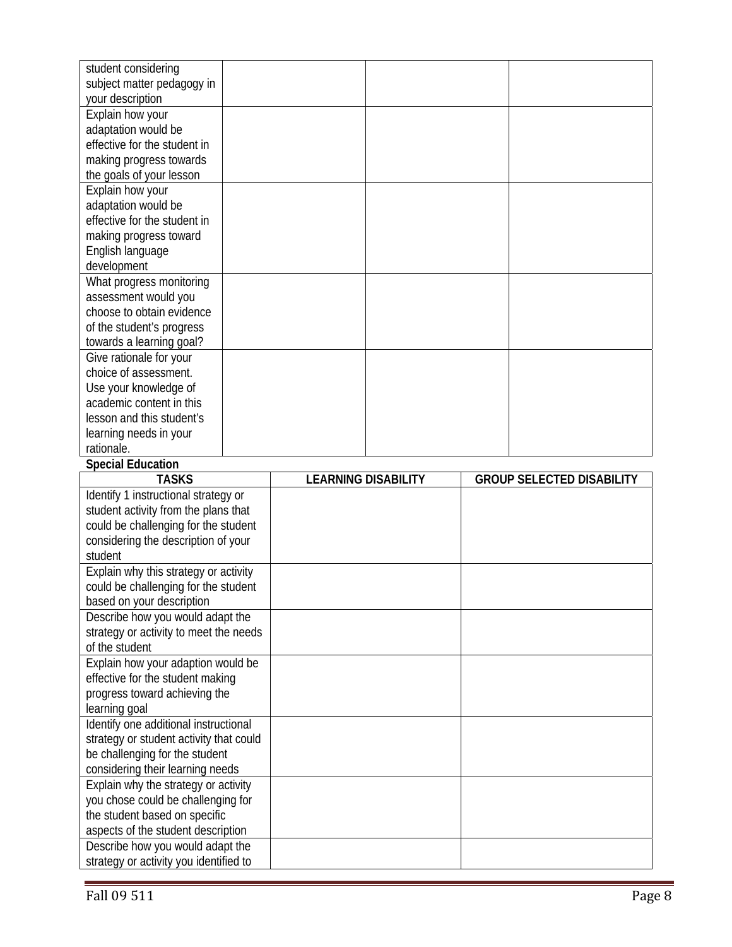| student considering<br>subject matter pedagogy in                          |                            |  |                                  |
|----------------------------------------------------------------------------|----------------------------|--|----------------------------------|
| your description                                                           |                            |  |                                  |
| Explain how your                                                           |                            |  |                                  |
| adaptation would be                                                        |                            |  |                                  |
| effective for the student in                                               |                            |  |                                  |
| making progress towards                                                    |                            |  |                                  |
| the goals of your lesson                                                   |                            |  |                                  |
| Explain how your                                                           |                            |  |                                  |
| adaptation would be                                                        |                            |  |                                  |
| effective for the student in                                               |                            |  |                                  |
| making progress toward                                                     |                            |  |                                  |
| English language                                                           |                            |  |                                  |
| development                                                                |                            |  |                                  |
| What progress monitoring                                                   |                            |  |                                  |
| assessment would you<br>choose to obtain evidence                          |                            |  |                                  |
| of the student's progress                                                  |                            |  |                                  |
| towards a learning goal?                                                   |                            |  |                                  |
| Give rationale for your                                                    |                            |  |                                  |
| choice of assessment.                                                      |                            |  |                                  |
| Use your knowledge of                                                      |                            |  |                                  |
| academic content in this                                                   |                            |  |                                  |
| lesson and this student's                                                  |                            |  |                                  |
| learning needs in your                                                     |                            |  |                                  |
| rationale.                                                                 |                            |  |                                  |
|                                                                            |                            |  |                                  |
| <b>Special Education</b>                                                   |                            |  |                                  |
| <b>TASKS</b>                                                               | <b>LEARNING DISABILITY</b> |  | <b>GROUP SELECTED DISABILITY</b> |
| Identify 1 instructional strategy or                                       |                            |  |                                  |
| student activity from the plans that                                       |                            |  |                                  |
| could be challenging for the student                                       |                            |  |                                  |
| considering the description of your                                        |                            |  |                                  |
| student                                                                    |                            |  |                                  |
| Explain why this strategy or activity                                      |                            |  |                                  |
| could be challenging for the student                                       |                            |  |                                  |
| based on your description                                                  |                            |  |                                  |
| Describe how you would adapt the                                           |                            |  |                                  |
| strategy or activity to meet the needs                                     |                            |  |                                  |
| of the student                                                             |                            |  |                                  |
| Explain how your adaption would be                                         |                            |  |                                  |
| effective for the student making                                           |                            |  |                                  |
| progress toward achieving the                                              |                            |  |                                  |
| learning goal                                                              |                            |  |                                  |
| Identify one additional instructional                                      |                            |  |                                  |
| strategy or student activity that could                                    |                            |  |                                  |
| be challenging for the student<br>considering their learning needs         |                            |  |                                  |
| Explain why the strategy or activity                                       |                            |  |                                  |
| you chose could be challenging for                                         |                            |  |                                  |
| the student based on specific                                              |                            |  |                                  |
| aspects of the student description                                         |                            |  |                                  |
| Describe how you would adapt the<br>strategy or activity you identified to |                            |  |                                  |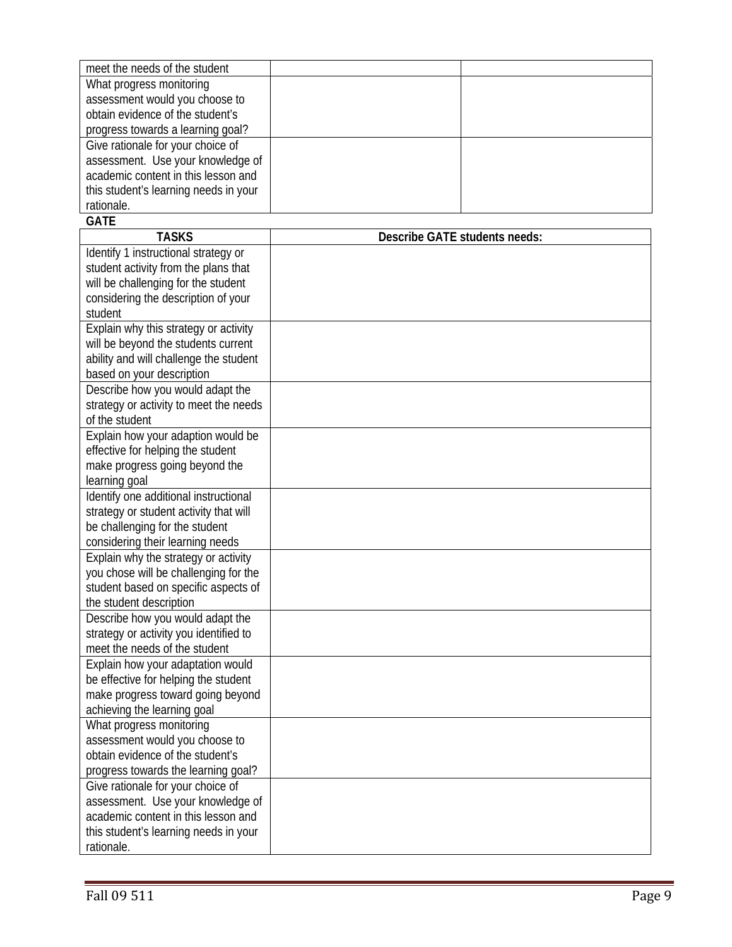| meet the needs of the student         |  |
|---------------------------------------|--|
| What progress monitoring              |  |
| assessment would you choose to        |  |
| obtain evidence of the student's      |  |
| progress towards a learning goal?     |  |
| Give rationale for your choice of     |  |
| assessment. Use your knowledge of     |  |
| academic content in this lesson and   |  |
| this student's learning needs in your |  |
| rationale.                            |  |

# **GATE**

| <b>TASKS</b>                           | Describe GATE students needs: |
|----------------------------------------|-------------------------------|
| Identify 1 instructional strategy or   |                               |
| student activity from the plans that   |                               |
| will be challenging for the student    |                               |
| considering the description of your    |                               |
| student                                |                               |
| Explain why this strategy or activity  |                               |
| will be beyond the students current    |                               |
| ability and will challenge the student |                               |
| based on your description              |                               |
| Describe how you would adapt the       |                               |
| strategy or activity to meet the needs |                               |
| of the student                         |                               |
| Explain how your adaption would be     |                               |
| effective for helping the student      |                               |
| make progress going beyond the         |                               |
| learning goal                          |                               |
| Identify one additional instructional  |                               |
| strategy or student activity that will |                               |
| be challenging for the student         |                               |
| considering their learning needs       |                               |
| Explain why the strategy or activity   |                               |
| you chose will be challenging for the  |                               |
| student based on specific aspects of   |                               |
| the student description                |                               |
| Describe how you would adapt the       |                               |
| strategy or activity you identified to |                               |
| meet the needs of the student          |                               |
| Explain how your adaptation would      |                               |
| be effective for helping the student   |                               |
| make progress toward going beyond      |                               |
| achieving the learning goal            |                               |
| What progress monitoring               |                               |
| assessment would you choose to         |                               |
| obtain evidence of the student's       |                               |
| progress towards the learning goal?    |                               |
| Give rationale for your choice of      |                               |
| assessment. Use your knowledge of      |                               |
| academic content in this lesson and    |                               |
| this student's learning needs in your  |                               |
| rationale.                             |                               |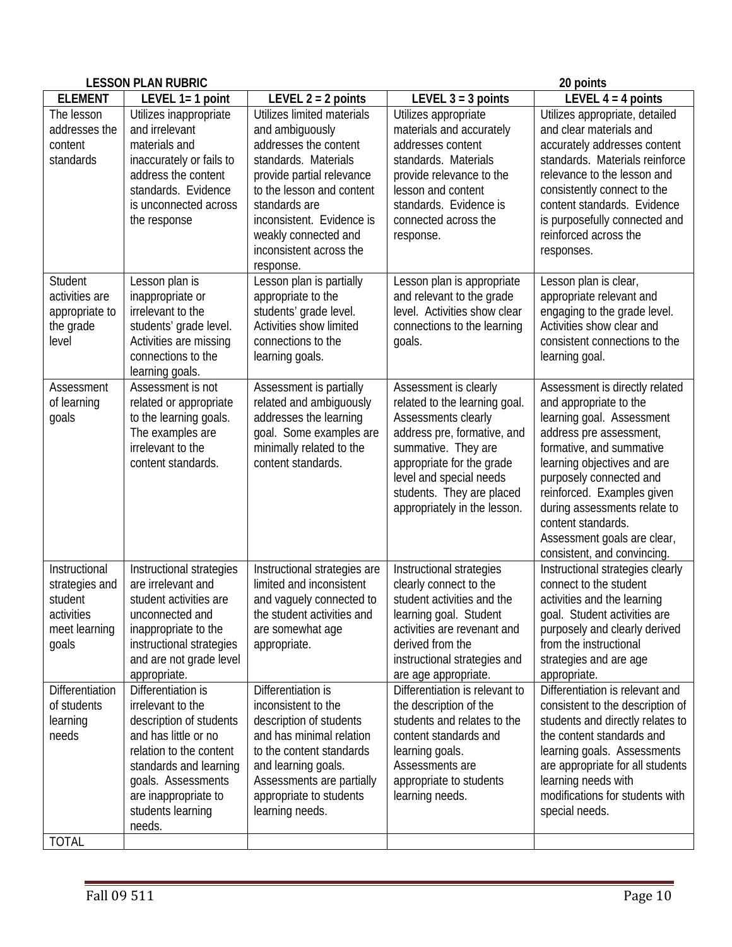| <b>LESSON PLAN RUBRIC</b><br>20 points                                             |                                                                                                                                                                                                                              |                                                                                                                                                                                                                                                                        |                                                                                                                                                                                                                                                          |                                                                                                                                                                                                                                                                                                                                                          |
|------------------------------------------------------------------------------------|------------------------------------------------------------------------------------------------------------------------------------------------------------------------------------------------------------------------------|------------------------------------------------------------------------------------------------------------------------------------------------------------------------------------------------------------------------------------------------------------------------|----------------------------------------------------------------------------------------------------------------------------------------------------------------------------------------------------------------------------------------------------------|----------------------------------------------------------------------------------------------------------------------------------------------------------------------------------------------------------------------------------------------------------------------------------------------------------------------------------------------------------|
| <b>ELEMENT</b>                                                                     | LEVEL $1=1$ point                                                                                                                                                                                                            | LEVEL $2 = 2$ points                                                                                                                                                                                                                                                   | LEVEL $3 = 3$ points                                                                                                                                                                                                                                     | LEVEL $4 = 4$ points                                                                                                                                                                                                                                                                                                                                     |
| The lesson<br>addresses the<br>content<br>standards                                | Utilizes inappropriate<br>and irrelevant<br>materials and<br>inaccurately or fails to<br>address the content<br>standards. Evidence<br>is unconnected across<br>the response                                                 | Utilizes limited materials<br>and ambiguously<br>addresses the content<br>standards. Materials<br>provide partial relevance<br>to the lesson and content<br>standards are<br>inconsistent. Evidence is<br>weakly connected and<br>inconsistent across the<br>response. | Utilizes appropriate<br>materials and accurately<br>addresses content<br>standards. Materials<br>provide relevance to the<br>lesson and content<br>standards. Evidence is<br>connected across the<br>response.                                           | Utilizes appropriate, detailed<br>and clear materials and<br>accurately addresses content<br>standards. Materials reinforce<br>relevance to the lesson and<br>consistently connect to the<br>content standards. Evidence<br>is purposefully connected and<br>reinforced across the<br>responses.                                                         |
| Student<br>activities are<br>appropriate to<br>the grade<br>level                  | Lesson plan is<br>inappropriate or<br>irrelevant to the<br>students' grade level.<br>Activities are missing<br>connections to the<br>learning goals.                                                                         | Lesson plan is partially<br>appropriate to the<br>students' grade level.<br>Activities show limited<br>connections to the<br>learning goals.                                                                                                                           | Lesson plan is appropriate<br>and relevant to the grade<br>level. Activities show clear<br>connections to the learning<br>goals.                                                                                                                         | Lesson plan is clear,<br>appropriate relevant and<br>engaging to the grade level.<br>Activities show clear and<br>consistent connections to the<br>learning goal.                                                                                                                                                                                        |
| Assessment<br>of learning<br>goals                                                 | Assessment is not<br>related or appropriate<br>to the learning goals.<br>The examples are<br>irrelevant to the<br>content standards.                                                                                         | Assessment is partially<br>related and ambiguously<br>addresses the learning<br>goal. Some examples are<br>minimally related to the<br>content standards.                                                                                                              | Assessment is clearly<br>related to the learning goal.<br>Assessments clearly<br>address pre, formative, and<br>summative. They are<br>appropriate for the grade<br>level and special needs<br>students. They are placed<br>appropriately in the lesson. | Assessment is directly related<br>and appropriate to the<br>learning goal. Assessment<br>address pre assessment,<br>formative, and summative<br>learning objectives and are<br>purposely connected and<br>reinforced. Examples given<br>during assessments relate to<br>content standards.<br>Assessment goals are clear,<br>consistent, and convincing. |
| Instructional<br>strategies and<br>student<br>activities<br>meet learning<br>goals | Instructional strategies<br>are irrelevant and<br>student activities are<br>unconnected and<br>inappropriate to the<br>instructional strategies<br>and are not grade level<br>appropriate.                                   | Instructional strategies are<br>limited and inconsistent<br>and vaguely connected to<br>the student activities and<br>are somewhat age<br>appropriate.                                                                                                                 | Instructional strategies<br>clearly connect to the<br>student activities and the<br>learning goal. Student<br>activities are revenant and<br>derived from the<br>instructional strategies and<br>are age appropriate.                                    | Instructional strategies clearly<br>connect to the student<br>activities and the learning<br>goal. Student activities are<br>purposely and clearly derived<br>from the instructional<br>strategies and are age<br>appropriate.                                                                                                                           |
| Differentiation<br>of students<br>learning<br>needs<br><b>TOTAL</b>                | Differentiation is<br>irrelevant to the<br>description of students<br>and has little or no<br>relation to the content<br>standards and learning<br>goals. Assessments<br>are inappropriate to<br>students learning<br>needs. | Differentiation is<br>inconsistent to the<br>description of students<br>and has minimal relation<br>to the content standards<br>and learning goals.<br>Assessments are partially<br>appropriate to students<br>learning needs.                                         | Differentiation is relevant to<br>the description of the<br>students and relates to the<br>content standards and<br>learning goals.<br>Assessments are<br>appropriate to students<br>learning needs.                                                     | Differentiation is relevant and<br>consistent to the description of<br>students and directly relates to<br>the content standards and<br>learning goals. Assessments<br>are appropriate for all students<br>learning needs with<br>modifications for students with<br>special needs.                                                                      |
|                                                                                    |                                                                                                                                                                                                                              |                                                                                                                                                                                                                                                                        |                                                                                                                                                                                                                                                          |                                                                                                                                                                                                                                                                                                                                                          |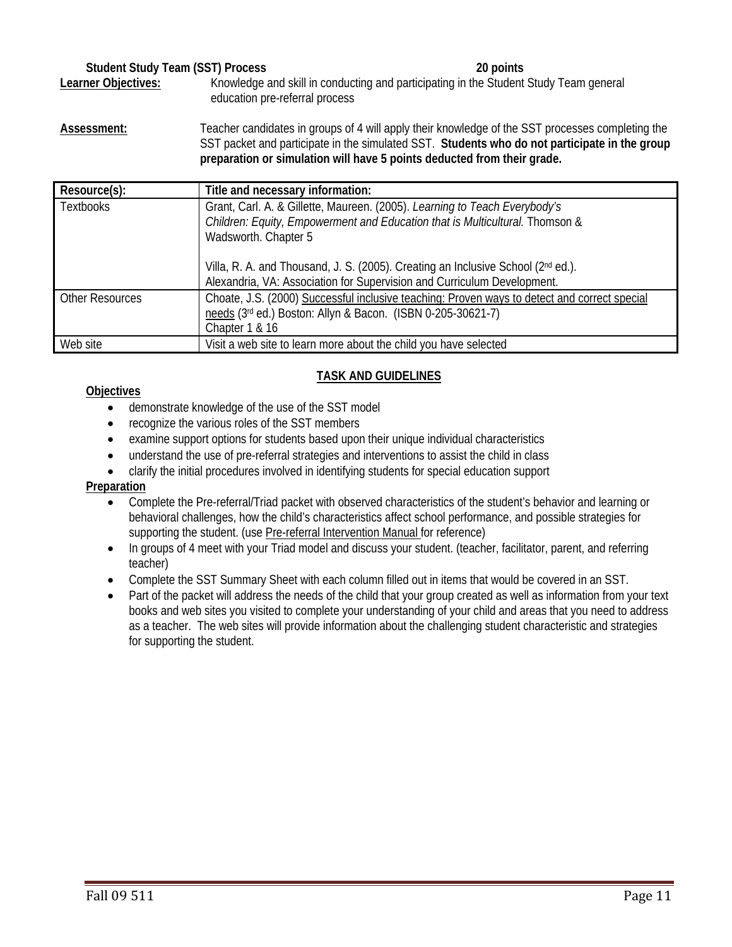# **Student Study Team (SST) Process 20 points** Learner Objectives: Knowledge and skill in conducting and participating in the Student Study Team general education pre-referral process

**Assessment:** Teacher candidates in groups of 4 will apply their knowledge of the SST processes completing the SST packet and participate in the simulated SST. **Students who do not participate in the group** 

|                        | preparation or simulation will have 5 points deducted from their grade.                                                                                                            |
|------------------------|------------------------------------------------------------------------------------------------------------------------------------------------------------------------------------|
| Resource(s):           | Title and necessary information:                                                                                                                                                   |
| <b>Textbooks</b>       | Grant, Carl. A. & Gillette, Maureen. (2005). Learning to Teach Everybody's<br>Children: Equity, Empowerment and Education that is Multicultural. Thomson &<br>Wadsworth. Chapter 5 |
|                        | Villa, R. A. and Thousand, J. S. (2005). Creating an Inclusive School (2nd ed.).<br>Alexandria, VA: Association for Supervision and Curriculum Development.                        |
| <b>Other Resources</b> | Choate, J.S. (2000) Successful inclusive teaching: Proven ways to detect and correct special<br>needs (3rd ed.) Boston: Allyn & Bacon. (ISBN 0-205-30621-7)<br>Chapter 1 & 16      |
| Web site               | Visit a web site to learn more about the child you have selected                                                                                                                   |

# **TASK AND GUIDELINES**

# **Objectives**

- demonstrate knowledge of the use of the SST model
- recognize the various roles of the SST members
- examine support options for students based upon their unique individual characteristics
- understand the use of pre-referral strategies and interventions to assist the child in class
- clarify the initial procedures involved in identifying students for special education support

# **Preparation**

- Complete the Pre-referral/Triad packet with observed characteristics of the student's behavior and learning or behavioral challenges, how the child's characteristics affect school performance, and possible strategies for supporting the student. (use Pre-referral Intervention Manual for reference)
- In groups of 4 meet with your Triad model and discuss your student. (teacher, facilitator, parent, and referring teacher)
- Complete the SST Summary Sheet with each column filled out in items that would be covered in an SST.
- Part of the packet will address the needs of the child that your group created as well as information from your text books and web sites you visited to complete your understanding of your child and areas that you need to address as a teacher. The web sites will provide information about the challenging student characteristic and strategies for supporting the student.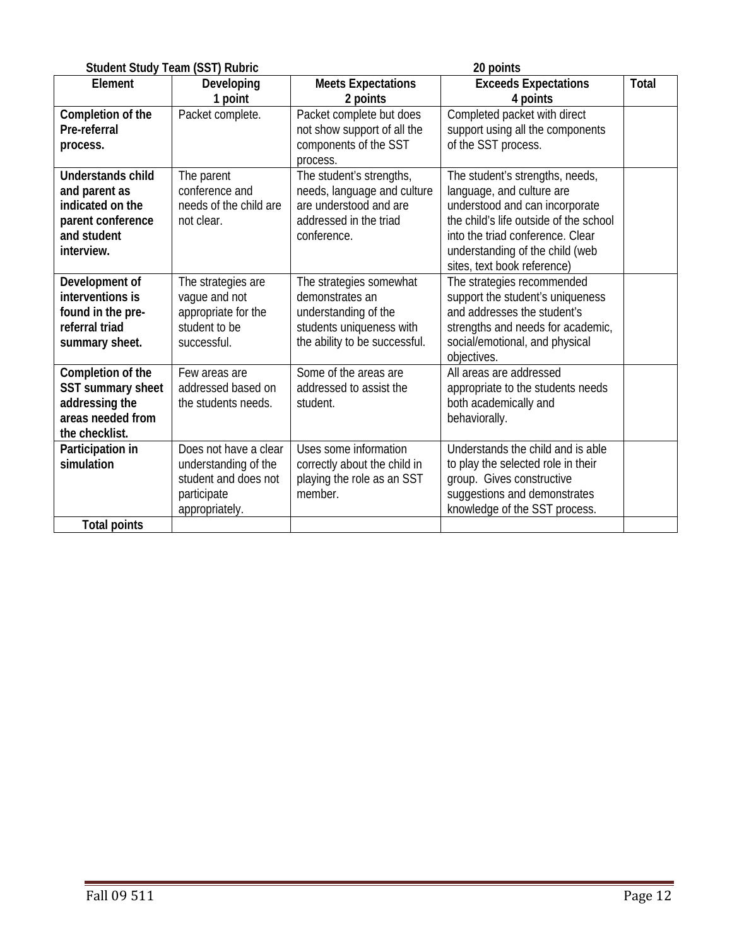|                                                                                                                 | <b>Student Study Team (SST) Rubric</b>                                                                 |                                                                                                                                 | 20 points                                                                                                                                                                                                                                      |              |
|-----------------------------------------------------------------------------------------------------------------|--------------------------------------------------------------------------------------------------------|---------------------------------------------------------------------------------------------------------------------------------|------------------------------------------------------------------------------------------------------------------------------------------------------------------------------------------------------------------------------------------------|--------------|
| Element                                                                                                         | Developing<br>1 point                                                                                  | <b>Meets Expectations</b><br>2 points                                                                                           | <b>Exceeds Expectations</b><br>4 points                                                                                                                                                                                                        | <b>Total</b> |
| Completion of the<br>Pre-referral<br>process.                                                                   | Packet complete.                                                                                       | Packet complete but does<br>not show support of all the<br>components of the SST<br>process.                                    | Completed packet with direct<br>support using all the components<br>of the SST process.                                                                                                                                                        |              |
| <b>Understands child</b><br>and parent as<br>indicated on the<br>parent conference<br>and student<br>interview. | The parent<br>conference and<br>needs of the child are<br>not clear.                                   | The student's strengths,<br>needs, language and culture<br>are understood and are<br>addressed in the triad<br>conference.      | The student's strengths, needs,<br>language, and culture are<br>understood and can incorporate<br>the child's life outside of the school<br>into the triad conference. Clear<br>understanding of the child (web<br>sites, text book reference) |              |
| Development of<br>interventions is<br>found in the pre-<br>referral triad<br>summary sheet.                     | The strategies are<br>vague and not<br>appropriate for the<br>student to be<br>successful.             | The strategies somewhat<br>demonstrates an<br>understanding of the<br>students uniqueness with<br>the ability to be successful. | The strategies recommended<br>support the student's uniqueness<br>and addresses the student's<br>strengths and needs for academic,<br>social/emotional, and physical<br>objectives.                                                            |              |
| Completion of the<br>SST summary sheet<br>addressing the<br>areas needed from<br>the checklist.                 | Few areas are<br>addressed based on<br>the students needs.                                             | Some of the areas are<br>addressed to assist the<br>student.                                                                    | All areas are addressed<br>appropriate to the students needs<br>both academically and<br>behaviorally.                                                                                                                                         |              |
| Participation in<br>simulation<br><b>Total points</b>                                                           | Does not have a clear<br>understanding of the<br>student and does not<br>participate<br>appropriately. | Uses some information<br>correctly about the child in<br>playing the role as an SST<br>member.                                  | Understands the child and is able<br>to play the selected role in their<br>group. Gives constructive<br>suggestions and demonstrates<br>knowledge of the SST process.                                                                          |              |
|                                                                                                                 |                                                                                                        |                                                                                                                                 |                                                                                                                                                                                                                                                |              |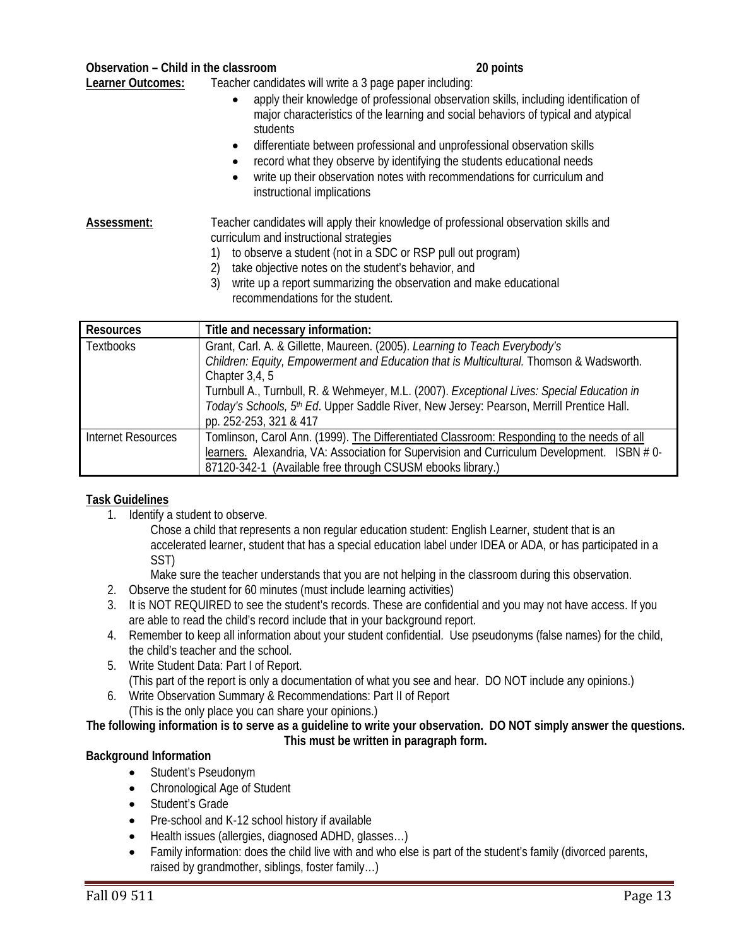#### **Observation – Child in the classroom 20 points**

**Learner Outcomes:** Teacher candidates will write a 3 page paper including:

- apply their knowledge of professional observation skills, including identification of major characteristics of the learning and social behaviors of typical and atypical students
- differentiate between professional and unprofessional observation skills
- record what they observe by identifying the students educational needs
- write up their observation notes with recommendations for curriculum and instructional implications

### **Assessment:** Teacher candidates will apply their knowledge of professional observation skills and curriculum and instructional strategies

- 1) to observe a student (not in a SDC or RSP pull out program)
- 2) take objective notes on the student's behavior, and
- 3) write up a report summarizing the observation and make educational recommendations for the student.

| <b>Resources</b>   | Title and necessary information:                                                            |
|--------------------|---------------------------------------------------------------------------------------------|
| <b>Textbooks</b>   | Grant, Carl. A. & Gillette, Maureen. (2005). Learning to Teach Everybody's                  |
|                    | Children: Equity, Empowerment and Education that is Multicultural. Thomson & Wadsworth.     |
|                    | Chapter $3,4,5$                                                                             |
|                    | Turnbull A., Turnbull, R. & Wehmeyer, M.L. (2007). Exceptional Lives: Special Education in  |
|                    | Today's Schools, 5th Ed. Upper Saddle River, New Jersey: Pearson, Merrill Prentice Hall.    |
|                    | pp. 252-253, 321 & 417                                                                      |
| Internet Resources | Tomlinson, Carol Ann. (1999). The Differentiated Classroom: Responding to the needs of all  |
|                    | learners. Alexandria, VA: Association for Supervision and Curriculum Development. ISBN # 0- |
|                    | 87120-342-1 (Available free through CSUSM ebooks library.)                                  |

# **Task Guidelines**

1. Identify a student to observe.

Chose a child that represents a non regular education student: English Learner, student that is an accelerated learner, student that has a special education label under IDEA or ADA, or has participated in a SST)

Make sure the teacher understands that you are not helping in the classroom during this observation.

- 2. Observe the student for 60 minutes (must include learning activities)
- 3. It is NOT REQUIRED to see the student's records. These are confidential and you may not have access. If you are able to read the child's record include that in your background report.
- 4. Remember to keep all information about your student confidential. Use pseudonyms (false names) for the child, the child's teacher and the school.
- 5. Write Student Data: Part I of Report. (This part of the report is only a documentation of what you see and hear. DO NOT include any opinions.)
- 6. Write Observation Summary & Recommendations: Part II of Report (This is the only place you can share your opinions.)

#### **The following information is to serve as a guideline to write your observation. DO NOT simply answer the questions. This must be written in paragraph form.**

# **Background Information**

- Student's Pseudonym
- Chronological Age of Student
- Student's Grade
- Pre-school and K-12 school history if available
- Health issues (allergies, diagnosed ADHD, glasses…)
- Family information: does the child live with and who else is part of the student's family (divorced parents, raised by grandmother, siblings, foster family…)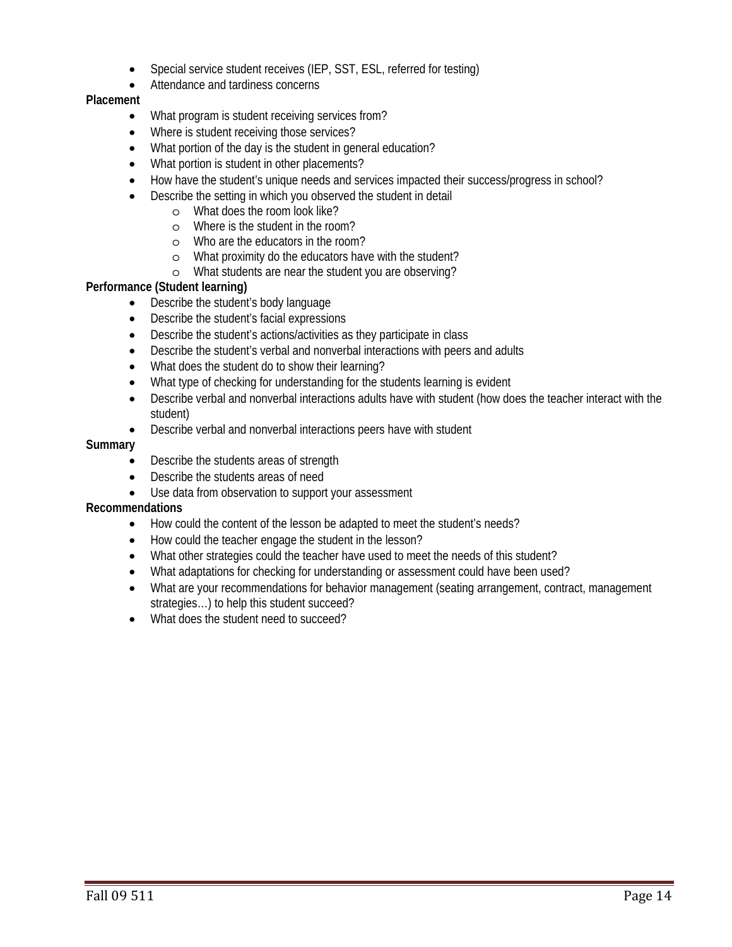- Special service student receives (IEP, SST, ESL, referred for testing)
- Attendance and tardiness concerns

#### **Placement**

- What program is student receiving services from?
- Where is student receiving those services?
- What portion of the day is the student in general education?
- What portion is student in other placements?
- How have the student's unique needs and services impacted their success/progress in school?
- Describe the setting in which you observed the student in detail
	- o What does the room look like?
	- o Where is the student in the room?
	- o Who are the educators in the room?
	- o What proximity do the educators have with the student?
	- o What students are near the student you are observing?

# **Performance (Student learning)**

- Describe the student's body language
- Describe the student's facial expressions
- Describe the student's actions/activities as they participate in class
- Describe the student's verbal and nonverbal interactions with peers and adults
- What does the student do to show their learning?
- What type of checking for understanding for the students learning is evident
- Describe verbal and nonverbal interactions adults have with student (how does the teacher interact with the student)
- Describe verbal and nonverbal interactions peers have with student

#### **Summary**

- Describe the students areas of strength
- Describe the students areas of need
- Use data from observation to support your assessment

#### **Recommendations**

- How could the content of the lesson be adapted to meet the student's needs?
- How could the teacher engage the student in the lesson?
- What other strategies could the teacher have used to meet the needs of this student?
- What adaptations for checking for understanding or assessment could have been used?
- strategies…) to help this student succeed? What are your recommendations for behavior management (seating arrangement, contract, management
- What does the student need to succeed?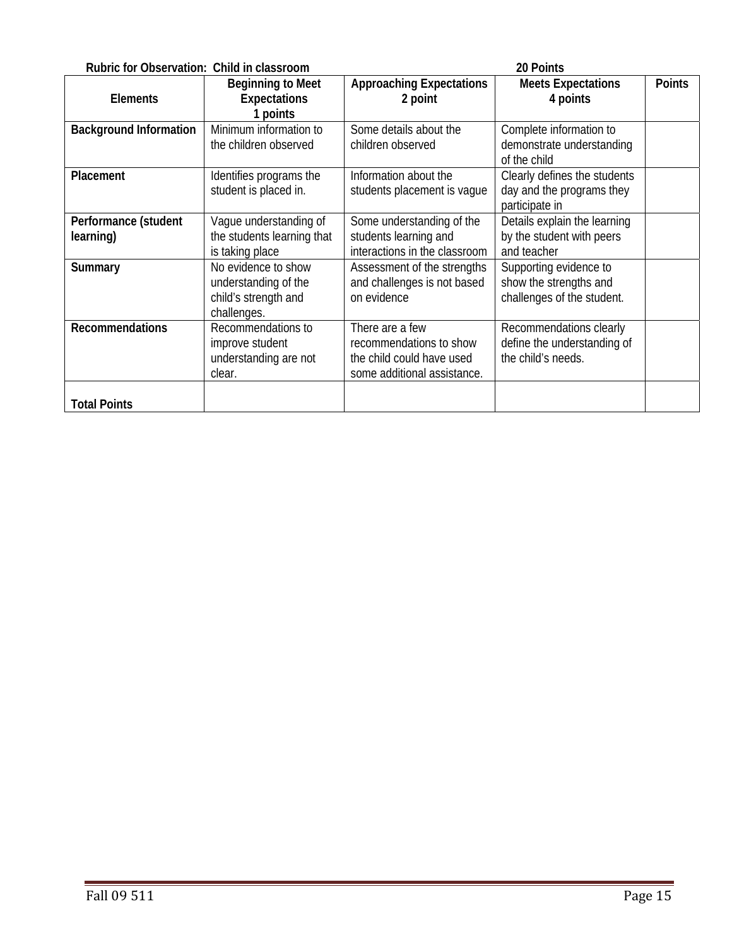| Rubric for Observation: Child in classroom<br>20 Points |                                                                                    |                                                                                                        |                                                                                |               |
|---------------------------------------------------------|------------------------------------------------------------------------------------|--------------------------------------------------------------------------------------------------------|--------------------------------------------------------------------------------|---------------|
| <b>Elements</b>                                         | <b>Beginning to Meet</b><br><b>Expectations</b><br>1 points                        | <b>Approaching Expectations</b><br>2 point                                                             | <b>Meets Expectations</b><br>4 points                                          | <b>Points</b> |
| <b>Background Information</b>                           | Minimum information to<br>the children observed                                    | Some details about the<br>children observed                                                            | Complete information to<br>demonstrate understanding<br>of the child           |               |
| Placement                                               | Identifies programs the<br>student is placed in.                                   | Information about the<br>students placement is vague                                                   | Clearly defines the students<br>day and the programs they<br>participate in    |               |
| Performance (student<br>learning)                       | Vague understanding of<br>the students learning that<br>is taking place            | Some understanding of the<br>students learning and<br>interactions in the classroom                    | Details explain the learning<br>by the student with peers<br>and teacher       |               |
| Summary                                                 | No evidence to show<br>understanding of the<br>child's strength and<br>challenges. | Assessment of the strengths<br>and challenges is not based<br>on evidence                              | Supporting evidence to<br>show the strengths and<br>challenges of the student. |               |
| <b>Recommendations</b>                                  | Recommendations to<br>improve student<br>understanding are not<br>clear.           | There are a few<br>recommendations to show<br>the child could have used<br>some additional assistance. | Recommendations clearly<br>define the understanding of<br>the child's needs.   |               |
| <b>Total Points</b>                                     |                                                                                    |                                                                                                        |                                                                                |               |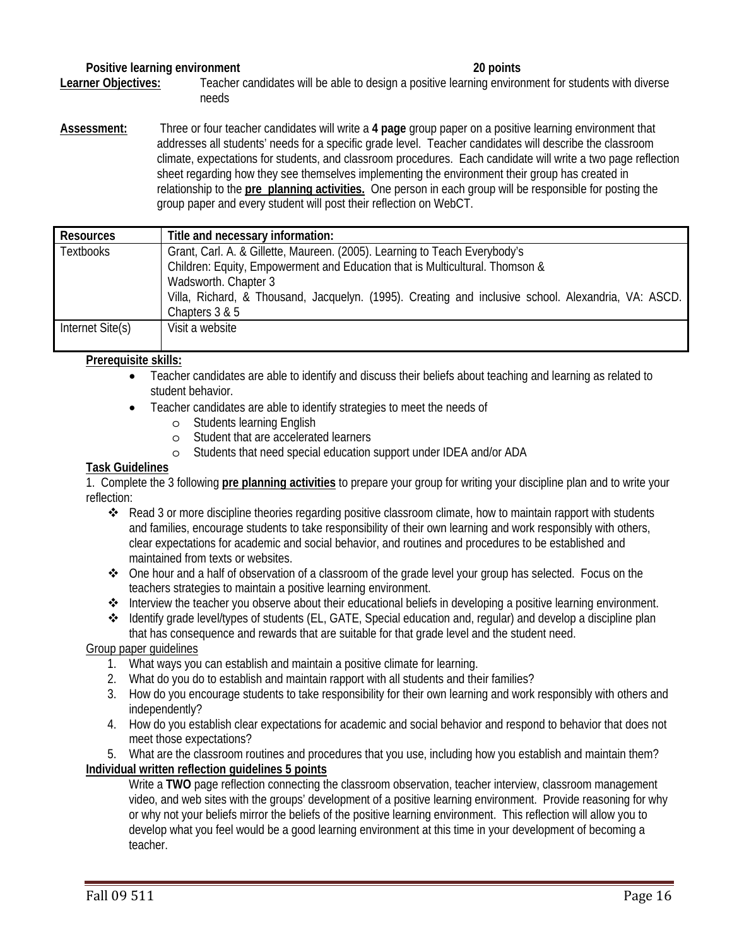#### **Positive learning environment** 20 points 20 points

Learner Objectives: Teacher candidates will be able to design a positive learning environment for students with diverse needs

**Assessment:** Three or four teacher candidates will write a **4 page** group paper on a positive learning environment that addresses all students' needs for a specific grade level. Teacher candidates will describe the classroom climate, expectations for students, and classroom procedures. Each candidate will write a two page reflection sheet regarding how they see themselves implementing the environment their group has created in relationship to the **pre planning activities.** One person in each group will be responsible for posting the group paper and every student will post their reflection on WebCT.

| <b>Resources</b> | Title and necessary information:                                                                                                                           |  |  |  |
|------------------|------------------------------------------------------------------------------------------------------------------------------------------------------------|--|--|--|
| <b>Textbooks</b> | Grant, Carl. A. & Gillette, Maureen. (2005). Learning to Teach Everybody's<br>Children: Equity, Empowerment and Education that is Multicultural. Thomson & |  |  |  |
|                  | Wadsworth. Chapter 3<br>Villa, Richard, & Thousand, Jacquelyn. (1995). Creating and inclusive school. Alexandria, VA: ASCD.<br>Chapters 3 & 5              |  |  |  |
| Internet Site(s) | Visit a website                                                                                                                                            |  |  |  |

#### **Prerequisite skills:**

- Teacher candidates are able to identify and discuss their beliefs about teaching and learning as related to student behavior.
- Teacher candidates are able to identify strategies to meet the needs of
	- o Students learning English
	- o Student that are accelerated learners
	- o Students that need special education support under IDEA and/or ADA

#### **Task Guidelines**

1. Complete the 3 following **pre planning activities** to prepare your group for writing your discipline plan and to write your reflection:

- \* Read 3 or more discipline theories regarding positive classroom climate, how to maintain rapport with students and families, encourage students to take responsibility of their own learning and work responsibly with others, clear expectations for academic and social behavior, and routines and procedures to be established and maintained from texts or websites.
- One hour and a half of observation of a classroom of the grade level your group has selected. Focus on the teachers strategies to maintain a positive learning environment.
- Interview the teacher you observe about their educational beliefs in developing a positive learning environment.
- Identify grade level/types of students (EL, GATE, Special education and, regular) and develop a discipline plan

that has consequence and rewards that are suitable for that grade level and the student need.

#### Group paper guidelines

- 1. What ways you can establish and maintain a positive climate for learning.
- 2. What do you do to establish and maintain rapport with all students and their families?
- 3. How do you encourage students to take responsibility for their own learning and work responsibly with others and independently?
- 4. How do you establish clear expectations for academic and social behavior and respond to behavior that does not meet those expectations?

5. What are the classroom routines and procedures that you use, including how you establish and maintain them? **Individual written reflection guidelines 5 points** 

Write a **TWO** page reflection connecting the classroom observation, teacher interview, classroom management video, and web sites with the groups' development of a positive learning environment. Provide reasoning for why or why not your beliefs mirror the beliefs of the positive learning environment. This reflection will allow you to develop what you feel would be a good learning environment at this time in your development of becoming a teacher.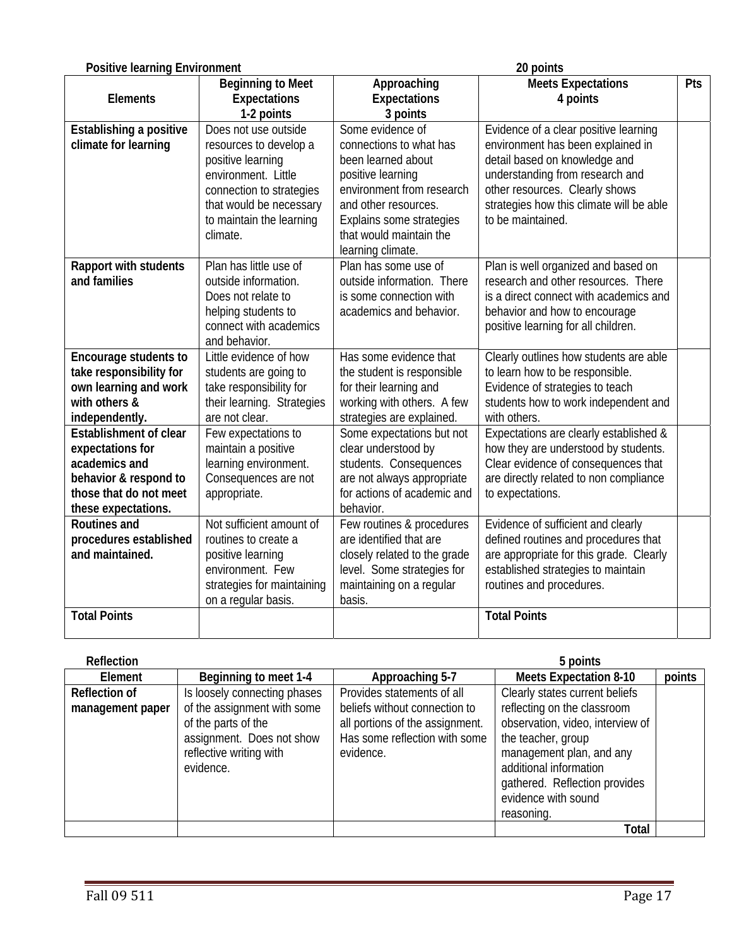# Fall 09 511 Page 17

|                                                 | and behavior.                |                                 |                                         |        |  |
|-------------------------------------------------|------------------------------|---------------------------------|-----------------------------------------|--------|--|
| Encourage students to                           | Little evidence of how       | Has some evidence that          | Clearly outlines how students are able  |        |  |
| take responsibility for                         | students are going to        | the student is responsible      | to learn how to be responsible.         |        |  |
| own learning and work                           | take responsibility for      | for their learning and          | Evidence of strategies to teach         |        |  |
| with others &                                   | their learning. Strategies   | working with others. A few      | students how to work independent and    |        |  |
| independently.                                  | are not clear.               | strategies are explained.       | with others.                            |        |  |
| <b>Establishment of clear</b>                   | Few expectations to          | Some expectations but not       | Expectations are clearly established &  |        |  |
| expectations for                                | maintain a positive          | clear understood by             | how they are understood by students.    |        |  |
| academics and                                   | learning environment.        | students. Consequences          | Clear evidence of consequences that     |        |  |
| behavior & respond to                           | Consequences are not         | are not always appropriate      | are directly related to non compliance  |        |  |
| those that do not meet                          | appropriate.                 | for actions of academic and     | to expectations.                        |        |  |
| these expectations.                             |                              | behavior.                       |                                         |        |  |
| <b>Routines and</b>                             | Not sufficient amount of     | Few routines & procedures       | Evidence of sufficient and clearly      |        |  |
| procedures established                          | routines to create a         | are identified that are         | defined routines and procedures that    |        |  |
| and maintained.                                 | positive learning            | closely related to the grade    | are appropriate for this grade. Clearly |        |  |
|                                                 | environment. Few             | level. Some strategies for      | established strategies to maintain      |        |  |
|                                                 | strategies for maintaining   | maintaining on a regular        | routines and procedures.                |        |  |
|                                                 | on a regular basis.          | basis.                          |                                         |        |  |
| <b>Total Points</b>                             |                              |                                 | <b>Total Points</b>                     |        |  |
|                                                 |                              |                                 |                                         |        |  |
|                                                 |                              |                                 |                                         |        |  |
| <b>Reflection</b>                               |                              |                                 | 5 points                                |        |  |
| Element                                         | Beginning to meet 1-4        | Approaching 5-7                 | <b>Meets Expectation 8-10</b>           | points |  |
| <b>Reflection of</b>                            | Is loosely connecting phases | Provides statements of all      | Clearly states current beliefs          |        |  |
| of the assignment with some<br>management paper |                              | beliefs without connection to   | reflecting on the classroom             |        |  |
| of the parts of the                             |                              | all portions of the assignment. | observation, video, interview of        |        |  |
|                                                 | assignment. Does not show    | Has some reflection with some   | the teacher, group                      |        |  |
|                                                 | reflective writing with      | evidence.                       | management plan, and any                |        |  |
|                                                 | evidence.                    |                                 | additional information                  |        |  |
|                                                 |                              |                                 | gathered. Reflection provides           |        |  |
|                                                 |                              |                                 | evidence with sound                     |        |  |

**Approaching Expectations 3 points** 

connections to what has been learned about positive learning

environment from research and other resources. Explains some strategies that would maintain the learning climate.

outside information. There is some connection with academics and behavior.

**Establishing a positive** Does not use outside Some evidence of Evidence of a clear positive learning<br>
connections to what has<br>
environment has been explained in

**Rapport with students** Plan has little use of Plan has some use of Plan is well organized and based on and families

**Meets Expectations 4 points** 

environment has been explained in detail based on knowledge and understanding from research and other resources. Clearly shows strategies how this climate will be able

research and other resources. There is a direct connect with academics and behavior and how to encourage positive learning for all children.

to be maintained.

**Pts** 

#### **Positive learning Environment** 20 points **20 points**

**Elements** 

Plan has little use of

**and families** outside information. Does not relate to helping students to connect with academics

climate.

**Beginning to Meet Expectations 1-2 points** 

resources to develop a positive learning environment. Little connection to strategies that would be necessary to maintain the learning

reasoning.

**Total**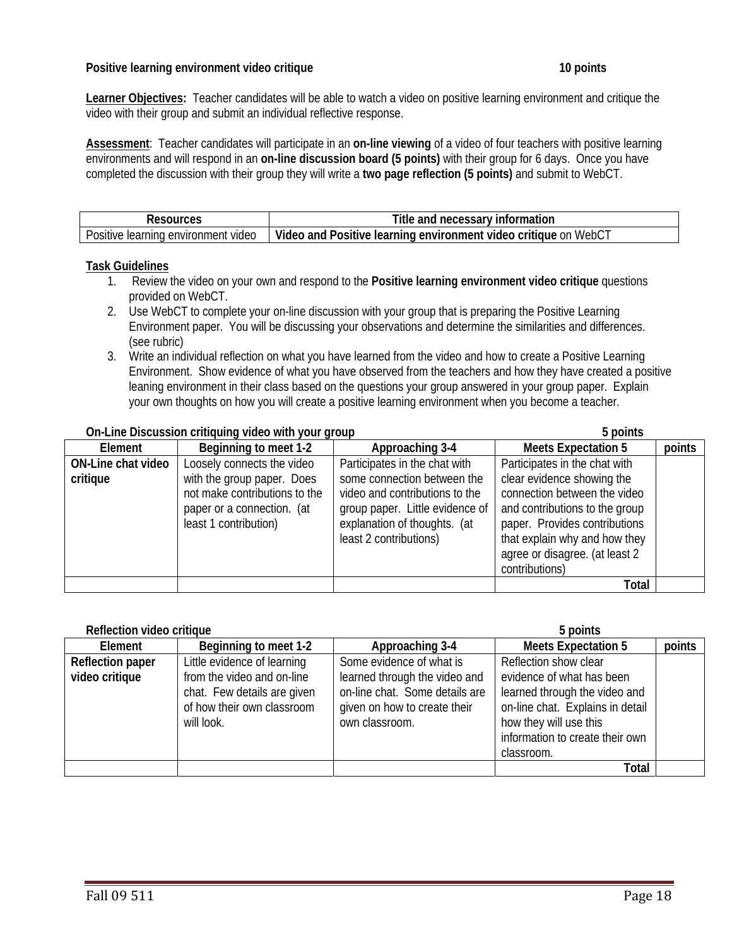#### **Positive learning environment video critique 10 points 10 points 10 points 10 points**

**Learner Objectives:** Teacher candidates will be able to watch a video on positive learning environment and critique the video with their group and submit an individual reflective response.

**Assessment**: Teacher candidates will participate in an **on-line viewing** of a video of four teachers with positive learning environments and will respond in an **on-line discussion board (5 points)** with their group for 6 days. Once you have completed the discussion with their group they will write a **two page reflection (5 points)** and submit to WebCT.

| sources                                                   | necessary<br>information<br>and<br>itle                                                |
|-----------------------------------------------------------|----------------------------------------------------------------------------------------|
| $\cdots$<br>environment<br>video<br>learning.<br>Positive | Video and<br>n Webu.<br>: learning environment<br>Positive<br>critique<br>video<br>-on |

#### **Task Guidelines**

- 1. Review the video on your own and respond to the **Positive learning environment video critique** questions provided on WebCT.
- 2. Use WebCT to complete your on-line discussion with your group that is preparing the Positive Learning Environment paper. You will be discussing your observations and determine the similarities and differences. (see rubric)
- 3. Write an individual reflection on what you have learned from the video and how to create a Positive Learning Environment. Show evidence of what you have observed from the teachers and how they have created a positive leaning environment in their class based on the questions your group answered in your group paper. Explain your own thoughts on how you will create a positive learning environment when you become a teacher.

#### **On-Line Discussion critiquing video with your group 5 points**

|                    |                               |                                 | -----                          |        |
|--------------------|-------------------------------|---------------------------------|--------------------------------|--------|
| Element            | Beginning to meet 1-2         | Approaching 3-4                 | <b>Meets Expectation 5</b>     | points |
| ON-Line chat video | Loosely connects the video    | Participates in the chat with   | Participates in the chat with  |        |
| critique           | with the group paper. Does    | some connection between the     | clear evidence showing the     |        |
|                    | not make contributions to the | video and contributions to the  | connection between the video   |        |
|                    | paper or a connection. (at    | group paper. Little evidence of | and contributions to the group |        |
|                    | least 1 contribution)         | explanation of thoughts. (at    | paper. Provides contributions  |        |
|                    |                               | least 2 contributions)          | that explain why and how they  |        |
|                    |                               |                                 | agree or disagree. (at least 2 |        |
|                    |                               |                                 | contributions)                 |        |
|                    |                               |                                 | <b>Total</b>                   |        |

| Reflection video critique                 |                                                                                                                                      | 5 points                                                                                                                                      |                                                                                                                                                                                                    |        |  |
|-------------------------------------------|--------------------------------------------------------------------------------------------------------------------------------------|-----------------------------------------------------------------------------------------------------------------------------------------------|----------------------------------------------------------------------------------------------------------------------------------------------------------------------------------------------------|--------|--|
| Element                                   | Beginning to meet 1-2                                                                                                                | Approaching 3-4                                                                                                                               | <b>Meets Expectation 5</b>                                                                                                                                                                         | points |  |
| <b>Reflection paper</b><br>video critique | Little evidence of learning<br>from the video and on-line<br>chat. Few details are given<br>of how their own classroom<br>will look. | Some evidence of what is<br>learned through the video and<br>on-line chat. Some details are<br>given on how to create their<br>own classroom. | Reflection show clear<br>evidence of what has been<br>learned through the video and<br>on-line chat. Explains in detail<br>how they will use this<br>information to create their own<br>classroom. |        |  |
|                                           |                                                                                                                                      |                                                                                                                                               | Total                                                                                                                                                                                              |        |  |